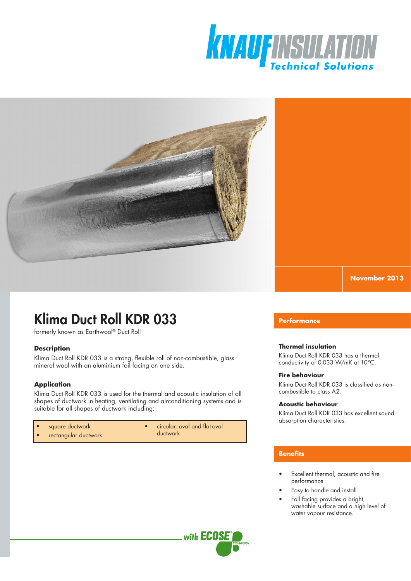



**November 2013**

# Klima Duct Roll KDR 033

formerly known as Earthwool® Duct Roll

## **Description**

Klima Duct Roll KDR 033 is a strong, flexible roll of non-combustible, glass mineral wool with an aluminium foil facing on one side.

# **Application**

Klima Duct Roll KDR 033 is used for the thermal and acoustic insulation of all shapes of ductwork in heating, ventilating and airconditioning systems and is suitable for all shapes of ductwork including:

- square ductwork
- circular, oval and flat-oval
- rectangular ductwork
- ductwork

# **Performance**

## **Thermal insulation**

Klima Duct Roll KDR 033 has a thermal conductivity of 0,033 W/mK at 10°C.

### **Fire behaviour**

Klima Duct Roll KDR 033 is classified as noncombustible to class A2.

### **Acoustic behaviour**

Klima Duct Roll KDR 033 has excellent sound absorption characteristics.

# **Benefits**

- Excellent thermal, acoustic and fire performance
- Easy to handle and install
- Foil facing provides a bright, washable surface and a high level of water vapour resistance.